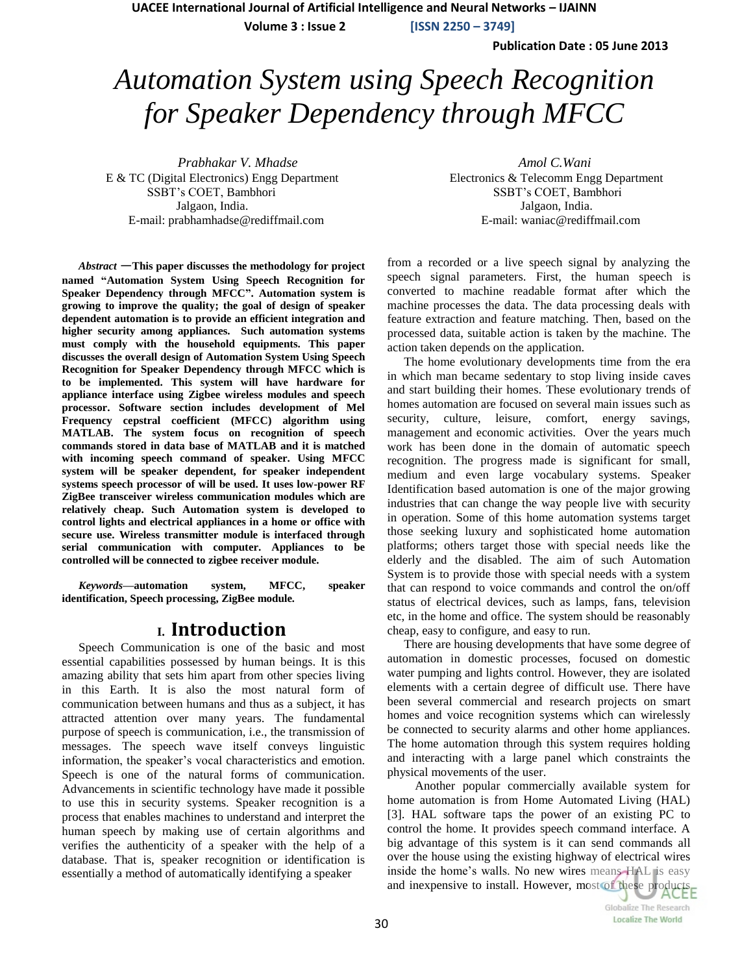**Volume 3 : Issue 2 [ISSN 2250 – 3749]**

**Publication Date : 05 June 2013**

# *Automation System using Speech Recognition for Speaker Dependency through MFCC*

*Prabhakar V. Mhadse Amol C.Wani* E & TC (Digital Electronics) Engg Department Electronics & Telecomm Engg Department SSBT's COET, Bambhori SSBT's COET, Bambhori Jalgaon, India. Jalgaon, India. E-mail: prabhamhadse@rediffmail.com E-mail: waniac@rediffmail.com

*Abstract* —**This paper discusses the methodology for project named "Automation System Using Speech Recognition for Speaker Dependency through MFCC". Automation system is growing to improve the quality; the goal of design of speaker dependent automation is to provide an efficient integration and higher security among appliances. Such automation systems must comply with the household equipments. This paper discusses the overall design of Automation System Using Speech Recognition for Speaker Dependency through MFCC which is to be implemented. This system will have hardware for appliance interface using Zigbee wireless modules and speech processor. Software section includes development of Mel Frequency cepstral coefficient (MFCC) algorithm using MATLAB. The system focus on recognition of speech commands stored in data base of MATLAB and it is matched with incoming speech command of speaker. Using MFCC system will be speaker dependent, for speaker independent systems speech processor of will be used. It uses low-power RF ZigBee transceiver wireless communication modules which are relatively cheap. Such Automation system is developed to control lights and electrical appliances in a home or office with secure use. Wireless transmitter module is interfaced through serial communication with computer. Appliances to be controlled will be connected to zigbee receiver module.**

*Keywords—***automation system, MFCC, speaker identification, Speech processing, ZigBee module***.*

## **I. Introduction**

Speech Communication is one of the basic and most essential capabilities possessed by human beings. It is this amazing ability that sets him apart from other species living in this Earth. It is also the most natural form of communication between humans and thus as a subject, it has attracted attention over many years. The fundamental purpose of speech is communication, i.e., the transmission of messages. The speech wave itself conveys linguistic information, the speaker's vocal characteristics and emotion. Speech is one of the natural forms of communication. Advancements in scientific technology have made it possible to use this in security systems. Speaker recognition is a process that enables machines to understand and interpret the human speech by making use of certain algorithms and verifies the authenticity of a speaker with the help of a database. That is, speaker recognition or identification is essentially a method of automatically identifying a speaker

from a recorded or a live speech signal by analyzing the speech signal parameters. First, the human speech is converted to machine readable format after which the machine processes the data. The data processing deals with feature extraction and feature matching. Then, based on the processed data, suitable action is taken by the machine. The action taken depends on the application.

The home evolutionary developments time from the era in which man became sedentary to stop living inside caves and start building their homes. These evolutionary trends of homes automation are focused on several main issues such as security, culture, leisure, comfort, energy savings, management and economic activities. Over the years much work has been done in the domain of automatic speech recognition. The progress made is significant for small, medium and even large vocabulary systems. Speaker Identification based automation is one of the major growing industries that can change the way people live with security in operation. Some of this home automation systems target those seeking luxury and sophisticated home automation platforms; others target those with special needs like the elderly and the disabled. The aim of such Automation System is to provide those with special needs with a system that can respond to voice commands and control the on/off status of electrical devices, such as lamps, fans, television etc, in the home and office. The system should be reasonably cheap, easy to configure, and easy to run.

There are housing developments that have some degree of automation in domestic processes, focused on domestic water pumping and lights control. However, they are isolated elements with a certain degree of difficult use. There have been several commercial and research projects on smart homes and voice recognition systems which can wirelessly be connected to security alarms and other home appliances. The home automation through this system requires holding and interacting with a large panel which constraints the physical movements of the user.

Another popular commercially available system for home automation is from Home Automated Living (HAL) [3]. HAL software taps the power of an existing PC to control the home. It provides speech command interface. A big advantage of this system is it can send commands all over the house using the existing highway of electrical wires inside the home's walls. No new wires means HAL is easy and inexpensive to install. However, most of these products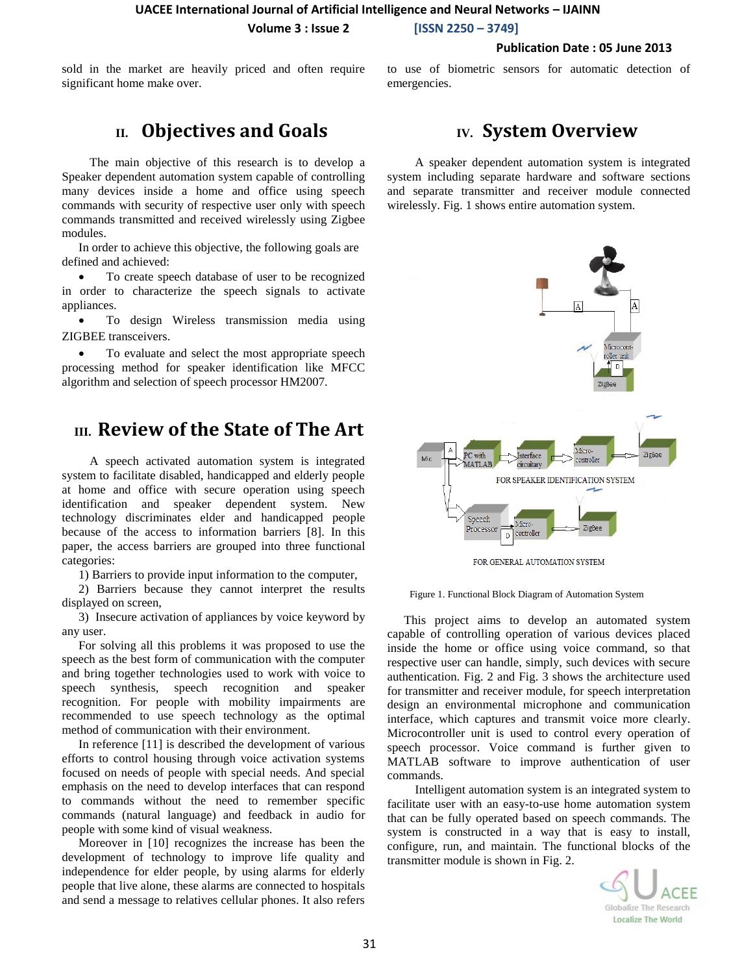**Volume 3 : Issue 2 [ISSN 2250 – 3749]**

#### **Publication Date : 05 June 2013**

sold in the market are heavily priced and often require significant home make over.

to use of biometric sensors for automatic detection of emergencies.

# **II. Objectives and Goals**

The main objective of this research is to develop a Speaker dependent automation system capable of controlling many devices inside a home and office using speech commands with security of respective user only with speech commands transmitted and received wirelessly using Zigbee modules.

In order to achieve this objective, the following goals are defined and achieved:

 To create speech database of user to be recognized in order to characterize the speech signals to activate appliances.

 To design Wireless transmission media using ZIGBEE transceivers.

 To evaluate and select the most appropriate speech processing method for speaker identification like MFCC algorithm and selection of speech processor HM2007.

# **III. Review of the State of The Art**

A speech activated automation system is integrated system to facilitate disabled, handicapped and elderly people at home and office with secure operation using speech identification and speaker dependent system. New technology discriminates elder and handicapped people because of the access to information barriers [8]. In this paper, the access barriers are grouped into three functional categories:

1) Barriers to provide input information to the computer,

2) Barriers because they cannot interpret the results displayed on screen,

3) Insecure activation of appliances by voice keyword by any user.

For solving all this problems it was proposed to use the speech as the best form of communication with the computer and bring together technologies used to work with voice to speech synthesis, speech recognition and speaker recognition. For people with mobility impairments are recommended to use speech technology as the optimal method of communication with their environment.

In reference [11] is described the development of various efforts to control housing through voice activation systems focused on needs of people with special needs. And special emphasis on the need to develop interfaces that can respond to commands without the need to remember specific commands (natural language) and feedback in audio for people with some kind of visual weakness.

Moreover in [10] recognizes the increase has been the development of technology to improve life quality and independence for elder people, by using alarms for elderly people that live alone, these alarms are connected to hospitals and send a message to relatives cellular phones. It also refers

# **IV. System Overview**

A speaker dependent automation system is integrated system including separate hardware and software sections and separate transmitter and receiver module connected wirelessly. Fig. 1 shows entire automation system.



FOR GENERAL AUTOMATION SYSTEM



This project aims to develop an automated system capable of controlling operation of various devices placed inside the home or office using voice command, so that respective user can handle, simply, such devices with secure authentication. Fig. 2 and Fig. 3 shows the architecture used for transmitter and receiver module, for speech interpretation design an environmental microphone and communication interface, which captures and transmit voice more clearly. Microcontroller unit is used to control every operation of speech processor. Voice command is further given to MATLAB software to improve authentication of user commands.

Intelligent automation system is an integrated system to facilitate user with an easy-to-use home automation system that can be fully operated based on speech commands. The system is constructed in a way that is easy to install, configure, run, and maintain. The functional blocks of the transmitter module is shown in Fig. 2.

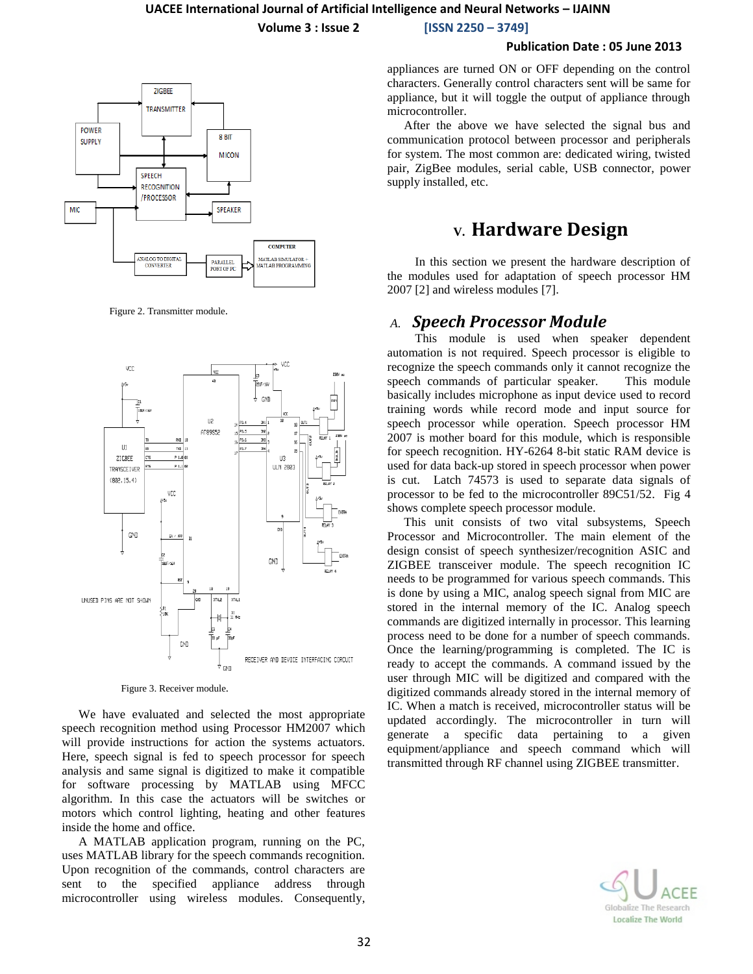**Volume 3 : Issue 2 [ISSN 2250 – 3749]**

#### **Publication Date : 05 June 2013**



Figure 2. Transmitter module.



Figure 3. Receiver module.

We have evaluated and selected the most appropriate speech recognition method using Processor HM2007 which will provide instructions for action the systems actuators. Here, speech signal is fed to speech processor for speech analysis and same signal is digitized to make it compatible for software processing by MATLAB using MFCC algorithm. In this case the actuators will be switches or motors which control lighting, heating and other features inside the home and office.

A MATLAB application program, running on the PC, uses MATLAB library for the speech commands recognition. Upon recognition of the commands, control characters are sent to the specified appliance address through microcontroller using wireless modules. Consequently, appliances are turned ON or OFF depending on the control characters. Generally control characters sent will be same for appliance, but it will toggle the output of appliance through microcontroller.

After the above we have selected the signal bus and communication protocol between processor and peripherals for system. The most common are: dedicated wiring, twisted pair, ZigBee modules, serial cable, USB connector, power supply installed, etc.

## **V. Hardware Design**

In this section we present the hardware description of the modules used for adaptation of speech processor HM 2007 [2] and wireless modules [7].

## *A. Speech Processor Module*

This module is used when speaker dependent automation is not required. Speech processor is eligible to recognize the speech commands only it cannot recognize the speech commands of particular speaker. This module basically includes microphone as input device used to record training words while record mode and input source for speech processor while operation. Speech processor HM 2007 is mother board for this module, which is responsible for speech recognition. HY-6264 8-bit static RAM device is used for data back-up stored in speech processor when power is cut. Latch 74573 is used to separate data signals of processor to be fed to the microcontroller 89C51/52. Fig 4 shows complete speech processor module.

This unit consists of two vital subsystems, Speech Processor and Microcontroller. The main element of the design consist of speech synthesizer/recognition ASIC and ZIGBEE transceiver module. The speech recognition IC needs to be programmed for various speech commands. This is done by using a MIC, analog speech signal from MIC are stored in the internal memory of the IC. Analog speech commands are digitized internally in processor. This learning process need to be done for a number of speech commands. Once the learning/programming is completed. The IC is ready to accept the commands. A command issued by the user through MIC will be digitized and compared with the digitized commands already stored in the internal memory of IC. When a match is received, microcontroller status will be updated accordingly. The microcontroller in turn will generate a specific data pertaining to a given equipment/appliance and speech command which will transmitted through RF channel using ZIGBEE transmitter.

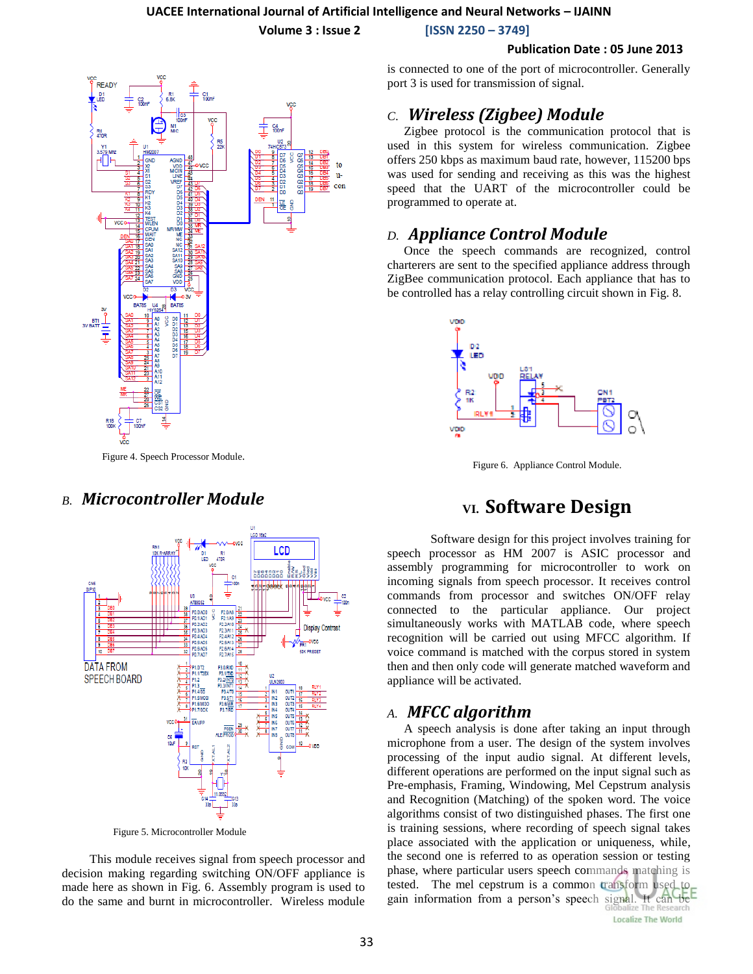**Volume 3 : Issue 2 [ISSN 2250 – 3749]**

#### **Publication Date : 05 June 2013**



Figure 4. Speech Processor Module.

## *B. Microcontroller Module*



Figure 5. Microcontroller Module

This module receives signal from speech processor and decision making regarding switching ON/OFF appliance is made here as shown in Fig. 6. Assembly program is used to do the same and burnt in microcontroller. Wireless module is connected to one of the port of microcontroller. Generally port 3 is used for transmission of signal.

## *C*. *Wireless (Zigbee) Module*

Zigbee protocol is the communication protocol that is used in this system for wireless communication. Zigbee offers 250 kbps as maximum baud rate, however, 115200 bps was used for sending and receiving as this was the highest speed that the UART of the microcontroller could be programmed to operate at.

## *D. Appliance Control Module*

Once the speech commands are recognized, control charterers are sent to the specified appliance address through ZigBee communication protocol. Each appliance that has to be controlled has a relay controlling circuit shown in Fig. 8.



Figure 6. Appliance Control Module.

# **VI. Software Design**

Software design for this project involves training for speech processor as HM 2007 is ASIC processor and assembly programming for microcontroller to work on incoming signals from speech processor. It receives control commands from processor and switches ON/OFF relay connected to the particular appliance. Our project simultaneously works with MATLAB code, where speech recognition will be carried out using MFCC algorithm. If voice command is matched with the corpus stored in system then and then only code will generate matched waveform and appliance will be activated.

## *A. MFCC algorithm*

A speech analysis is done after taking an input through microphone from a user. The design of the system involves processing of the input audio signal. At different levels, different operations are performed on the input signal such as Pre-emphasis, Framing, Windowing, Mel Cepstrum analysis and Recognition (Matching) of the spoken word. The voice algorithms consist of two distinguished phases. The first one is training sessions, where recording of speech signal takes place associated with the application or uniqueness, while, the second one is referred to as operation session or testing phase, where particular users speech commands matching is tested. The mel cepstrum is a common transform used. gain information from a person's speech signal. It can be

**Localize The World**